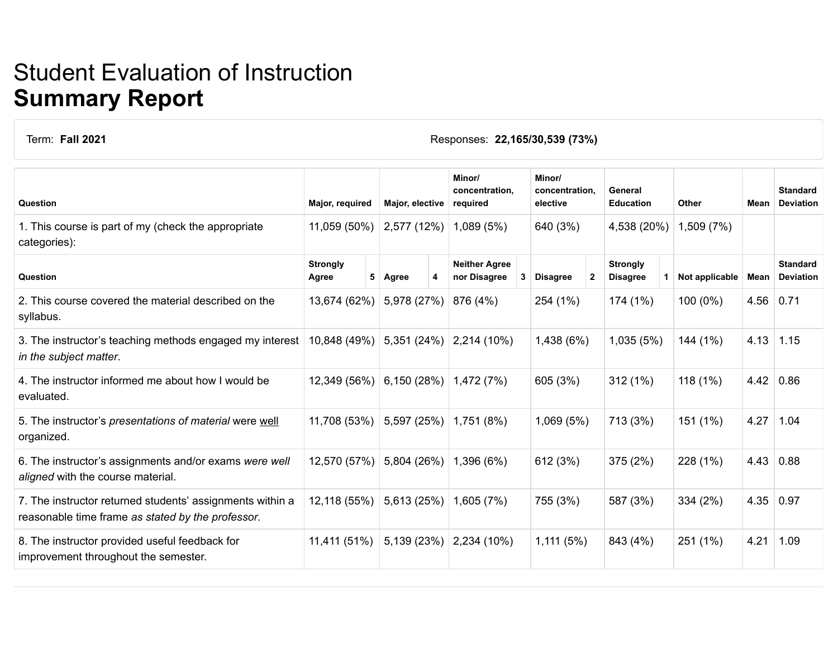## Student Evaluation of Instruction **Summary Report**

Term: **Fall 2021** Responses: **22,165/30,539 (73%)**

| Question                                                                                                       | Major, required          |   | Major, elective |   | Minor/<br>concentration,<br>required |   | Minor/<br>concentration.<br>elective |  | General<br><b>Education</b>        |  | Other          | Mean        | <b>Standard</b><br><b>Deviation</b> |
|----------------------------------------------------------------------------------------------------------------|--------------------------|---|-----------------|---|--------------------------------------|---|--------------------------------------|--|------------------------------------|--|----------------|-------------|-------------------------------------|
| 1. This course is part of my (check the appropriate<br>categories):                                            | 11,059 (50%)             |   | 2,577 (12%)     |   | 1,089(5%)                            |   | 640 (3%)                             |  | 4,538 (20%)                        |  | 1,509 (7%)     |             |                                     |
| Question                                                                                                       | <b>Strongly</b><br>Agree | 5 | Agree           | 4 | <b>Neither Agree</b><br>nor Disagree | 3 | <b>Disagree</b><br>$\mathbf{2}$      |  | <b>Strongly</b><br><b>Disagree</b> |  | Not applicable | Mean        | <b>Standard</b><br><b>Deviation</b> |
| 2. This course covered the material described on the<br>syllabus.                                              | 13,674 (62%)             |   | 5,978 (27%)     |   | 876 (4%)                             |   | 254 (1%)                             |  | 174 (1%)                           |  | 100 (0%)       | $4.56$ 0.71 |                                     |
| 3. The instructor's teaching methods engaged my interest<br>in the subject matter.                             | 10,848 (49%)             |   | 5,351(24%)      |   | 2,214 (10%)                          |   | 1,438 (6%)                           |  | 1,035(5%)                          |  | 144 (1%)       | 4.13        | 1.15                                |
| 4. The instructor informed me about how I would be<br>evaluated.                                               | 12,349 (56%)             |   | 6,150(28%)      |   | 1,472 (7%)                           |   | 605 (3%)                             |  | 312(1%)                            |  | 118(1%)        | 4.42        | 0.86                                |
| 5. The instructor's presentations of material were well<br>organized.                                          | 11,708 (53%)             |   | 5,597 (25%)     |   | 1,751 (8%)                           |   | 1,069 (5%)                           |  | 713 (3%)                           |  | 151 (1%)       | 4.27        | 1.04                                |
| 6. The instructor's assignments and/or exams were well<br>aligned with the course material.                    | 12,570 (57%)             |   | 5,804 (26%)     |   | 1,396 (6%)                           |   | 612 (3%)                             |  | 375 (2%)                           |  | 228 (1%)       | 4.43        | 0.88                                |
| 7. The instructor returned students' assignments within a<br>reasonable time frame as stated by the professor. | 12,118 (55%)             |   | 5,613 (25%)     |   | 1,605(7%)                            |   | 755 (3%)                             |  | 587 (3%)                           |  | 334 (2%)       |             | 4.35   0.97                         |
| 8. The instructor provided useful feedback for<br>improvement throughout the semester.                         | 11,411 (51%)             |   | 5,139 (23%)     |   | 2,234 (10%)                          |   | 1,111(5%)                            |  | 843 (4%)                           |  | 251 (1%)       | 4.21        | 1.09                                |